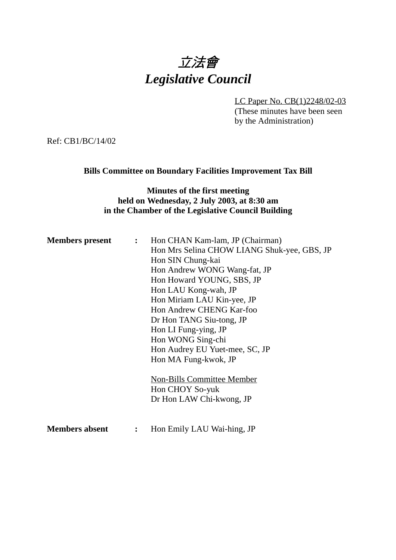

LC Paper No. CB(1)2248/02-03 (These minutes have been seen by the Administration)

Ref: CB1/BC/14/02

#### **Bills Committee on Boundary Facilities Improvement Tax Bill**

### **Minutes of the first meeting held on Wednesday, 2 July 2003, at 8:30 am in the Chamber of the Legislative Council Building**

| <b>Members present</b> | $\mathbf{L}$   | Hon CHAN Kam-lam, JP (Chairman)             |
|------------------------|----------------|---------------------------------------------|
|                        |                | Hon Mrs Selina CHOW LIANG Shuk-yee, GBS, JP |
|                        |                | Hon SIN Chung-kai                           |
|                        |                | Hon Andrew WONG Wang-fat, JP                |
|                        |                | Hon Howard YOUNG, SBS, JP                   |
|                        |                | Hon LAU Kong-wah, JP                        |
|                        |                | Hon Miriam LAU Kin-yee, JP                  |
|                        |                | Hon Andrew CHENG Kar-foo                    |
|                        |                | Dr Hon TANG Siu-tong, JP                    |
|                        |                | Hon LI Fung-ying, JP                        |
|                        |                | Hon WONG Sing-chi                           |
|                        |                | Hon Audrey EU Yuet-mee, SC, JP              |
|                        |                | Hon MA Fung-kwok, JP                        |
|                        |                | <b>Non-Bills Committee Member</b>           |
|                        |                | Hon CHOY So-yuk                             |
|                        |                | Dr Hon LAW Chi-kwong, JP                    |
|                        |                |                                             |
| <b>Members absent</b>  | $\ddot{\cdot}$ | Hon Emily LAU Wai-hing, JP                  |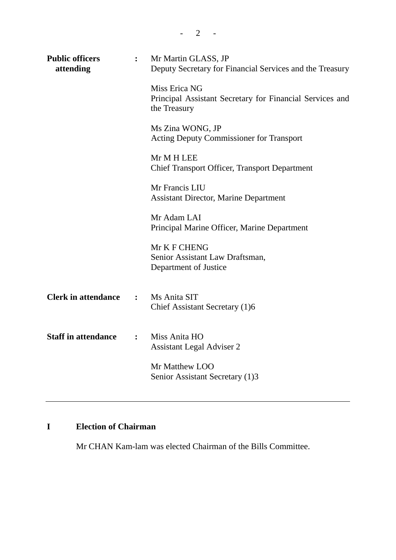| <b>Public officers</b><br>attending | $\ddot{\cdot}$ | Mr Martin GLASS, JP<br>Deputy Secretary for Financial Services and the Treasury           |
|-------------------------------------|----------------|-------------------------------------------------------------------------------------------|
|                                     |                | Miss Erica NG<br>Principal Assistant Secretary for Financial Services and<br>the Treasury |
|                                     |                | Ms Zina WONG, JP<br><b>Acting Deputy Commissioner for Transport</b>                       |
|                                     |                | Mr M H LEE<br>Chief Transport Officer, Transport Department                               |
|                                     |                | Mr Francis LIU<br><b>Assistant Director, Marine Department</b>                            |
|                                     |                | Mr Adam LAI<br>Principal Marine Officer, Marine Department                                |
|                                     |                | Mr K F CHENG<br>Senior Assistant Law Draftsman,<br>Department of Justice                  |
| <b>Clerk in attendance</b>          | $\ddot{\cdot}$ | Ms Anita SIT<br>Chief Assistant Secretary (1)6                                            |
| <b>Staff in attendance</b>          | $\ddot{\cdot}$ | Miss Anita HO<br><b>Assistant Legal Adviser 2</b>                                         |
|                                     |                | Mr Matthew LOO<br>Senior Assistant Secretary (1)3                                         |
|                                     |                |                                                                                           |

# **I Election of Chairman**

Mr CHAN Kam-lam was elected Chairman of the Bills Committee.

 $- 2 - -$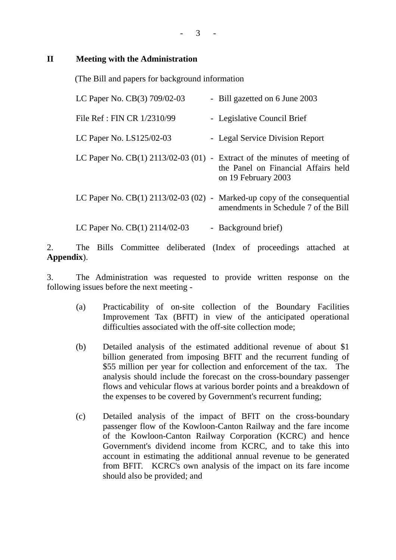#### $3 - 1$

### **II Meeting with the Administration**

(The Bill and papers for background information

| LC Paper No. CB(3) 709/02-03         | - Bill gazetted on 6 June 2003                                                                     |
|--------------------------------------|----------------------------------------------------------------------------------------------------|
| File Ref: FIN CR 1/2310/99           | - Legislative Council Brief                                                                        |
| LC Paper No. LS125/02-03             | - Legal Service Division Report                                                                    |
| LC Paper No. CB(1) 2113/02-03 (01) - | Extract of the minutes of meeting of<br>the Panel on Financial Affairs held<br>on 19 February 2003 |
| LC Paper No. CB(1) 2113/02-03 (02) - | Marked-up copy of the consequential<br>amendments in Schedule 7 of the Bill                        |
| LC Paper No. CB(1) 2114/02-03        | - Background brief)                                                                                |

2. The Bills Committee deliberated (Index of proceedings attached at **Appendix**).

3. The Administration was requested to provide written response on the following issues before the next meeting -

- (a) Practicability of on-site collection of the Boundary Facilities Improvement Tax (BFIT) in view of the anticipated operational difficulties associated with the off-site collection mode;
- (b) Detailed analysis of the estimated additional revenue of about \$1 billion generated from imposing BFIT and the recurrent funding of \$55 million per year for collection and enforcement of the tax. The analysis should include the forecast on the cross-boundary passenger flows and vehicular flows at various border points and a breakdown of the expenses to be covered by Government's recurrent funding;
- (c) Detailed analysis of the impact of BFIT on the cross-boundary passenger flow of the Kowloon-Canton Railway and the fare income of the Kowloon-Canton Railway Corporation (KCRC) and hence Government's dividend income from KCRC, and to take this into account in estimating the additional annual revenue to be generated from BFIT. KCRC's own analysis of the impact on its fare income should also be provided; and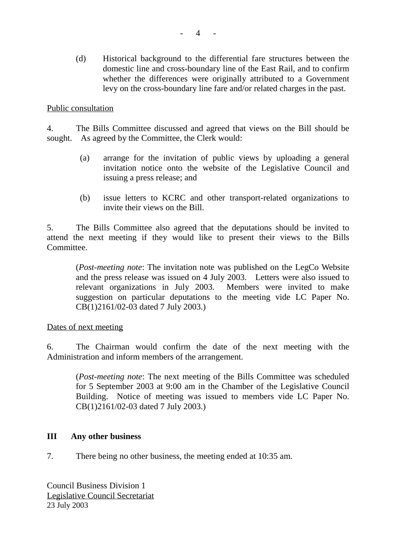(d) Historical background to the differential fare structures between the domestic line and cross-boundary line of the East Rail, and to confirm whether the differences were originally attributed to a Government levy on the cross-boundary line fare and/or related charges in the past.

#### Public consultation

4. The Bills Committee discussed and agreed that views on the Bill should be sought. As agreed by the Committee, the Clerk would:

- (a) arrange for the invitation of public views by uploading a general invitation notice onto the website of the Legislative Council and issuing a press release; and
- (b) issue letters to KCRC and other transport-related organizations to invite their views on the Bill.

5. The Bills Committee also agreed that the deputations should be invited to attend the next meeting if they would like to present their views to the Bills Committee.

(*Post-meeting note*: The invitation note was published on the LegCo Website and the press release was issued on 4 July 2003. Letters were also issued to relevant organizations in July 2003. Members were invited to make suggestion on particular deputations to the meeting vide LC Paper No. CB(1)2161/02-03 dated 7 July 2003.)

Dates of next meeting

6. The Chairman would confirm the date of the next meeting with the Administration and inform members of the arrangement.

(*Post-meeting note*: The next meeting of the Bills Committee was scheduled for 5 September 2003 at 9:00 am in the Chamber of the Legislative Council Building. Notice of meeting was issued to members vide LC Paper No. CB(1)2161/02-03 dated 7 July 2003.)

#### **III Any other business**

7. There being no other business, the meeting ended at 10:35 am.

Council Business Division 1 Legislative Council Secretariat 23 July 2003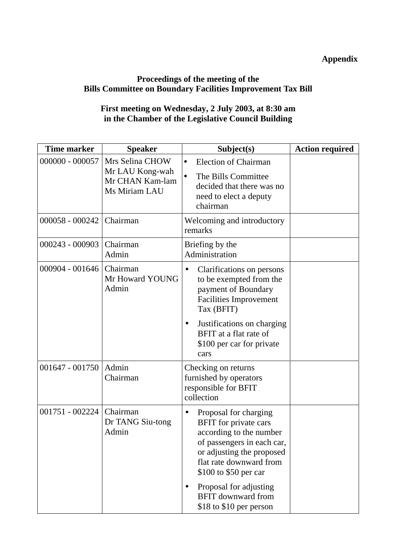## **Appendix**

## **Proceedings of the meeting of the Bills Committee on Boundary Facilities Improvement Tax Bill**

### **First meeting on Wednesday, 2 July 2003, at 8:30 am in the Chamber of the Legislative Council Building**

| <b>Time marker</b> | <b>Speaker</b>                                                         | Subject(s)                                                                                                                                                                                                                                   | <b>Action required</b> |
|--------------------|------------------------------------------------------------------------|----------------------------------------------------------------------------------------------------------------------------------------------------------------------------------------------------------------------------------------------|------------------------|
| 000000 - 000057    | Mrs Selina CHOW<br>Mr LAU Kong-wah<br>Mr CHAN Kam-lam<br>Ms Miriam LAU | <b>Election of Chairman</b><br>$\bullet$<br>The Bills Committee<br>decided that there was no<br>need to elect a deputy<br>chairman                                                                                                           |                        |
| 000058 - 000242    | Chairman                                                               | Welcoming and introductory<br>remarks                                                                                                                                                                                                        |                        |
| 000243 - 000903    | Chairman<br>Admin                                                      | Briefing by the<br>Administration                                                                                                                                                                                                            |                        |
| 000904 - 001646    | Chairman<br>Mr Howard YOUNG<br>Admin                                   | Clarifications on persons<br>to be exempted from the<br>payment of Boundary<br><b>Facilities Improvement</b><br>Tax (BFIT)<br>Justifications on charging<br>$\bullet$<br>BFIT at a flat rate of<br>\$100 per car for private<br>cars         |                        |
| 001647 - 001750    | Admin<br>Chairman                                                      | Checking on returns<br>furnished by operators<br>responsible for BFIT<br>collection                                                                                                                                                          |                        |
| 001751 - 002224    | Chairman<br>Dr TANG Siu-tong<br>Admin                                  | Proposal for charging<br>$\bullet$<br>BFIT for private cars<br>according to the number<br>of passengers in each car,<br>or adjusting the proposed<br>flat rate downward from<br>\$100 to \$50 per car<br>Proposal for adjusting<br>$\bullet$ |                        |
|                    |                                                                        | <b>BFIT</b> downward from<br>\$18 to \$10 per person                                                                                                                                                                                         |                        |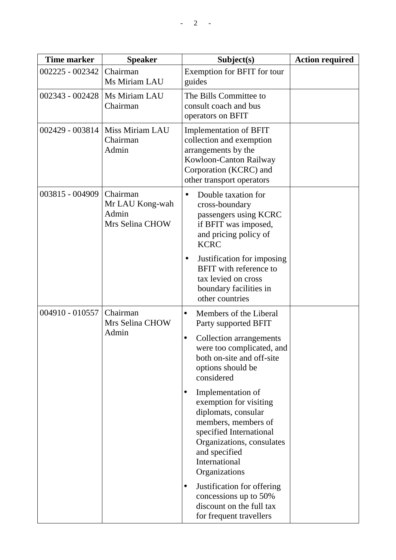| <b>Time marker</b> | <b>Speaker</b>                                          | Subject(s)                                                                                                                                                                                                        | <b>Action required</b> |
|--------------------|---------------------------------------------------------|-------------------------------------------------------------------------------------------------------------------------------------------------------------------------------------------------------------------|------------------------|
| 002225 - 002342    | Chairman<br>Ms Miriam LAU                               | Exemption for BFIT for tour<br>guides                                                                                                                                                                             |                        |
| 002343 - 002428    | Ms Miriam LAU<br>Chairman                               | The Bills Committee to<br>consult coach and bus<br>operators on BFIT                                                                                                                                              |                        |
| 002429 - 003814    | Miss Miriam LAU<br>Chairman<br>Admin                    | <b>Implementation of BFIT</b><br>collection and exemption<br>arrangements by the<br>Kowloon-Canton Railway<br>Corporation (KCRC) and<br>other transport operators                                                 |                        |
| 003815 - 004909    | Chairman<br>Mr LAU Kong-wah<br>Admin<br>Mrs Selina CHOW | Double taxation for<br>$\bullet$<br>cross-boundary<br>passengers using KCRC<br>if BFIT was imposed,<br>and pricing policy of<br><b>KCRC</b>                                                                       |                        |
|                    |                                                         | Justification for imposing<br><b>BFIT</b> with reference to<br>tax levied on cross<br>boundary facilities in<br>other countries                                                                                   |                        |
| 004910 - 010557    | Chairman<br>Mrs Selina CHOW                             | Members of the Liberal<br>$\bullet$<br>Party supported BFIT                                                                                                                                                       |                        |
|                    | Admin                                                   | Collection arrangements<br>$\bullet$<br>were too complicated, and<br>both on-site and off-site<br>options should be<br>considered                                                                                 |                        |
|                    |                                                         | Implementation of<br>$\bullet$<br>exemption for visiting<br>diplomats, consular<br>members, members of<br>specified International<br>Organizations, consulates<br>and specified<br>International<br>Organizations |                        |
|                    |                                                         | Justification for offering<br>$\bullet$<br>concessions up to 50%<br>discount on the full tax<br>for frequent travellers                                                                                           |                        |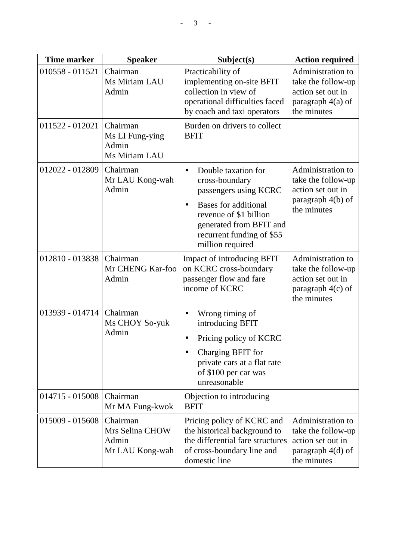| <b>Time marker</b> | <b>Speaker</b>                                          | Subject(s)                                                                                                                                                                                                       | <b>Action required</b>                                                                             |
|--------------------|---------------------------------------------------------|------------------------------------------------------------------------------------------------------------------------------------------------------------------------------------------------------------------|----------------------------------------------------------------------------------------------------|
| 010558 - 011521    | Chairman<br>Ms Miriam LAU<br>Admin                      | Practicability of<br>implementing on-site BFIT<br>collection in view of<br>operational difficulties faced<br>by coach and taxi operators                                                                         | Administration to<br>take the follow-up<br>action set out in<br>paragraph $4(a)$ of<br>the minutes |
| 011522 - 012021    | Chairman<br>Ms LI Fung-ying<br>Admin<br>Ms Miriam LAU   | Burden on drivers to collect<br><b>BFIT</b>                                                                                                                                                                      |                                                                                                    |
| 012022 - 012809    | Chairman<br>Mr LAU Kong-wah<br>Admin                    | Double taxation for<br>$\bullet$<br>cross-boundary<br>passengers using KCRC<br><b>Bases for additional</b><br>revenue of \$1 billion<br>generated from BFIT and<br>recurrent funding of \$55<br>million required | Administration to<br>take the follow-up<br>action set out in<br>paragraph 4(b) of<br>the minutes   |
| 012810 - 013838    | Chairman<br>Mr CHENG Kar-foo<br>Admin                   | Impact of introducing BFIT<br>on KCRC cross-boundary<br>passenger flow and fare<br>income of KCRC                                                                                                                | Administration to<br>take the follow-up<br>action set out in<br>paragraph $4(c)$ of<br>the minutes |
| 013939 - 014714    | Chairman<br>Ms CHOY So-yuk<br>Admin                     | Wrong timing of<br>$\bullet$<br>introducing BFIT<br>Pricing policy of KCRC<br>Charging BFIT for<br>private cars at a flat rate<br>of \$100 per car was<br>unreasonable                                           |                                                                                                    |
| 014715 - 015008    | Chairman<br>Mr MA Fung-kwok                             | Objection to introducing<br><b>BFIT</b>                                                                                                                                                                          |                                                                                                    |
| 015009 - 015608    | Chairman<br>Mrs Selina CHOW<br>Admin<br>Mr LAU Kong-wah | Pricing policy of KCRC and<br>the historical background to<br>the differential fare structures<br>of cross-boundary line and<br>domestic line                                                                    | Administration to<br>take the follow-up<br>action set out in<br>paragraph 4(d) of<br>the minutes   |